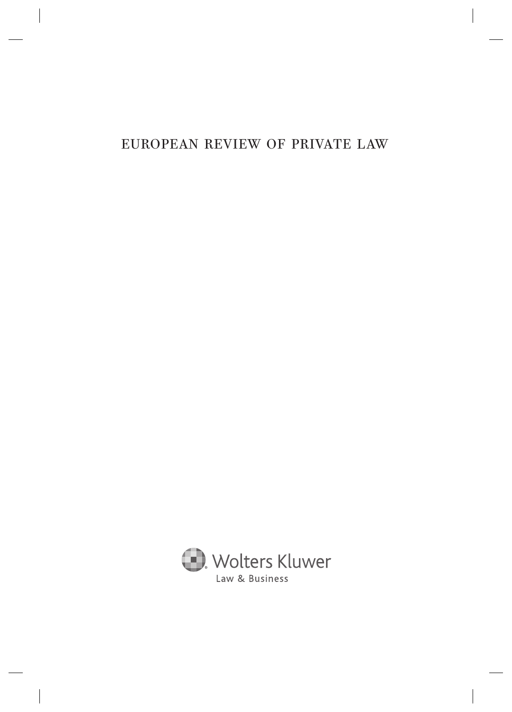# EUROPEAN REVIEW OF PRIVATE LAW

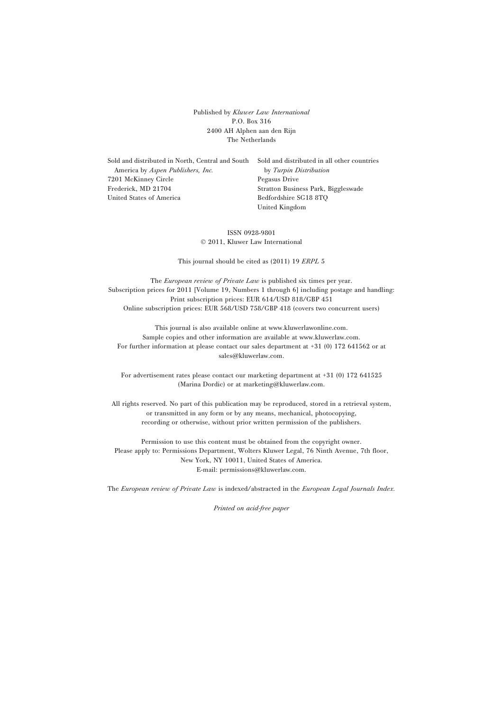Published by Kluwer Law International P.O. Box 316 2400 AH Alphen aan den Rijn The Netherlands

Sold and distributed in North, Central and South America by Aspen Publishers, Inc. 7201 McKinney Circle Frederick, MD 21704 United States of America

Sold and distributed in all other countries by Turpin Distribution Pegasus Drive Stratton Business Park, Biggleswade Bedfordshire SG18 8TQ United Kingdom

ISSN 0928-9801  $© 2011, Kluwer Law International$ 

This journal should be cited as (2011) 19 ERPL 5

The *European review of Private Law* is published six times per year. Subscription prices for 2011 [Volume 19, Numbers 1 through 6] including postage and handling: Print subscription prices: EUR 614/USD 818/GBP 451 Online subscription prices: EUR 568/USD 758/GBP 418 (covers two concurrent users)

This journal is also available online at www.kluwerlawonline.com. Sample copies and other information are available at www.kluwerlaw.com. For further information at please contact our sales department at +31 (0) 172 641562 or at sales@kluwerlaw.com.

For advertisement rates please contact our marketing department at +31 (0) 172 641525 (Marina Dordic) or at marketing@kluwerlaw.com.

All rights reserved. No part of this publication may be reproduced, stored in a retrieval system, or transmitted in any form or by any means, mechanical, photocopying, recording or otherwise, without prior written permission of the publishers.

Permission to use this content must be obtained from the copyright owner. Please apply to: Permissions Department, Wolters Kluwer Legal, 76 Ninth Avenue, 7th floor, New York, NY 10011, United States of America. E-mail: permissions@kluwerlaw.com.

The European review of Private Law is indexed/abstracted in the European Legal Journals Index.

Printed on acid-free paper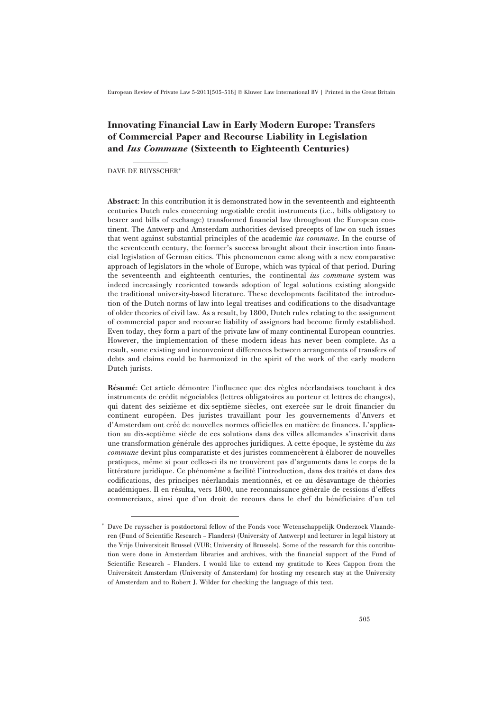## Innovating Financial Law in Early Modern Europe: Transfers of Commercial Paper and Recourse Liability in Legislation and Ius Commune (Sixteenth to Eighteenth Centuries)

DAVE DE RUYSSCHER\*

Abstract: In this contribution it is demonstrated how in the seventeenth and eighteenth centuries Dutch rules concerning negotiable credit instruments (i.e., bills obligatory to bearer and bills of exchange) transformed financial law throughout the European continent. The Antwerp and Amsterdam authorities devised precepts of law on such issues that went against substantial principles of the academic ius commune. In the course of the seventeenth century, the former's success brought about their insertion into financial legislation of German cities. This phenomenon came along with a new comparative approach of legislators in the whole of Europe, which was typical of that period. During the seventeenth and eighteenth centuries, the continental *ius commune* system was indeed increasingly reoriented towards adoption of legal solutions existing alongside the traditional university-based literature. These developments facilitated the introduction of the Dutch norms of law into legal treatises and codifications to the disadvantage of older theories of civil law. As a result, by 1800, Dutch rules relating to the assignment of commercial paper and recourse liability of assignors had become firmly established. Even today, they form a part of the private law of many continental European countries. However, the implementation of these modern ideas has never been complete. As a result, some existing and inconvenient differences between arrangements of transfers of debts and claims could be harmonized in the spirit of the work of the early modern Dutch jurists.

Résumé: Cet article démontre l'influence que des règles néerlandaises touchant à des instruments de crédit négociables (lettres obligatoires au porteur et lettres de changes), qui datent des seizième et dix-septième siècles, ont exercée sur le droit financier du continent européen. Des juristes travaillant pour les gouvernements d'Anvers et d'Amsterdam ont créé de nouvelles normes officielles en matière de finances. L'application au dix-septième siècle de ces solutions dans des villes allemandes s'inscrivit dans une transformation générale des approches juridiques. A cette époque, le système du *ius* commune devint plus comparatiste et des juristes commencèrent à élaborer de nouvelles pratiques, même si pour celles-ci ils ne trouvèrent pas d'arguments dans le corps de la littérature juridique. Ce phénomène a facilité l'introduction, dans des traités et dans des codifications, des principes néerlandais mentionnés, et ce au désavantage de théories académiques. Il en résulta, vers 1800, une reconnaissance générale de cessions d'effets commerciaux, ainsi que d'un droit de recours dans le chef du bénéficiaire d'un tel

<sup>!</sup> Dave De ruysscher is postdoctoral fellow of the Fonds voor Wetenschappelijk Onderzoek Vlaanderen (Fund of Scientific Research – Flanders) (University of Antwerp) and lecturer in legal history at the Vrije Universiteit Brussel (VUB; University of Brussels). Some of the research for this contribution were done in Amsterdam libraries and archives, with the financial support of the Fund of Scientific Research – Flanders. I would like to extend my gratitude to Kees Cappon from the Universiteit Amsterdam (University of Amsterdam) for hosting my research stay at the University of Amsterdam and to Robert J. Wilder for checking the language of this text.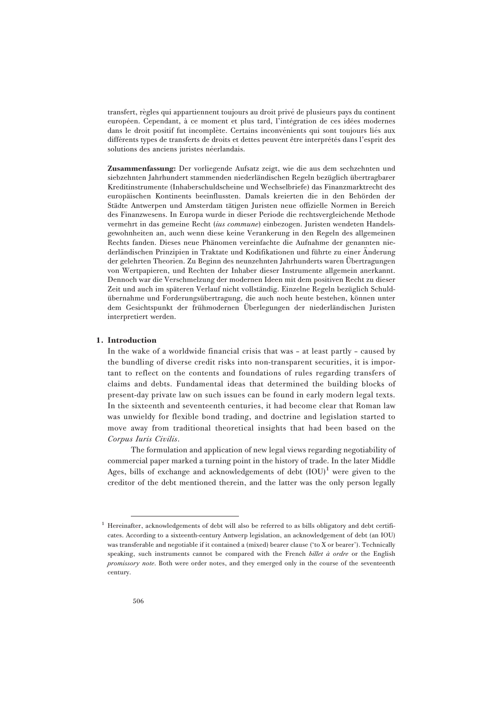transfert, règles qui appartiennent toujours au droit privé de plusieurs pays du continent européen. Cependant, à ce moment et plus tard, l'intégration de ces idées modernes dans le droit positif fut incomplète. Certains inconvénients qui sont toujours liés aux différents types de transferts de droits et dettes peuvent être interprétés dans l'esprit des solutions des anciens juristes néerlandais.

Zusammenfassung: Der vorliegende Aufsatz zeigt, wie die aus dem sechzehnten und siebzehnten Jahrhundert stammenden niederländischen Regeln bezüglich übertragbarer Kreditinstrumente (Inhaberschuldscheine und Wechselbriefe) das Finanzmarktrecht des europäischen Kontinents beeinflussten. Damals kreierten die in den Behörden der Städte Antwerpen und Amsterdam tätigen Juristen neue offizielle Normen in Bereich des Finanzwesens. In Europa wurde in dieser Periode die rechtsvergleichende Methode vermehrt in das gemeine Recht (ius commune) einbezogen. Juristen wendeten Handelsgewohnheiten an, auch wenn diese keine Verankerung in den Regeln des allgemeinen Rechts fanden. Dieses neue Phänomen vereinfachte die Aufnahme der genannten niederländischen Prinzipien in Traktate und Kodifikationen und führte zu einer Änderung der gelehrten Theorien. Zu Beginn des neunzehnten Jahrhunderts waren Übertragungen von Wertpapieren, und Rechten der Inhaber dieser Instrumente allgemein anerkannt. Dennoch war die Verschmelzung der modernen Ideen mit dem positiven Recht zu dieser Zeit und auch im späteren Verlauf nicht vollständig. Einzelne Regeln bezüglich Schuldübernahme und Forderungsübertragung, die auch noch heute bestehen, können unter dem Gesichtspunkt der frühmodernen Überlegungen der niederländischen Juristen interpretiert werden.

#### 1. Introduction

In the wake of a worldwide financial crisis that was – at least partly – caused by the bundling of diverse credit risks into non-transparent securities, it is important to reflect on the contents and foundations of rules regarding transfers of claims and debts. Fundamental ideas that determined the building blocks of present-day private law on such issues can be found in early modern legal texts. In the sixteenth and seventeenth centuries, it had become clear that Roman law was unwieldy for flexible bond trading, and doctrine and legislation started to move away from traditional theoretical insights that had been based on the Corpus Iuris Civilis.

The formulation and application of new legal views regarding negotiability of commercial paper marked a turning point in the history of trade. In the later Middle Ages, bills of exchange and acknowledgements of debt  $(IOU)^1$  were given to the creditor of the debt mentioned therein, and the latter was the only person legally

<sup>&</sup>lt;sup>1</sup> Hereinafter, acknowledgements of debt will also be referred to as bills obligatory and debt certificates. According to a sixteenth-century Antwerp legislation, an acknowledgement of debt (an IOU) was transferable and negotiable if it contained a (mixed) bearer clause ('to X or bearer'). Technically speaking, such instruments cannot be compared with the French billet  $\dot{a}$  ordre or the English promissory note. Both were order notes, and they emerged only in the course of the seventeenth century.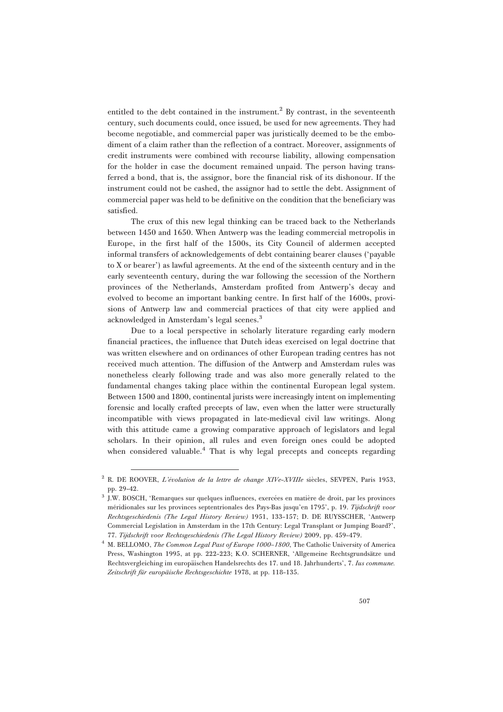entitled to the debt contained in the instrument.<sup>2</sup> By contrast, in the seventeenth century, such documents could, once issued, be used for new agreements. They had become negotiable, and commercial paper was juristically deemed to be the embodiment of a claim rather than the reflection of a contract. Moreover, assignments of credit instruments were combined with recourse liability, allowing compensation for the holder in case the document remained unpaid. The person having transferred a bond, that is, the assignor, bore the financial risk of its dishonour. If the instrument could not be cashed, the assignor had to settle the debt. Assignment of commercial paper was held to be definitive on the condition that the beneficiary was satisfied.

The crux of this new legal thinking can be traced back to the Netherlands between 1450 and 1650. When Antwerp was the leading commercial metropolis in Europe, in the first half of the 1500s, its City Council of aldermen accepted informal transfers of acknowledgements of debt containing bearer clauses ('payable to X or bearer') as lawful agreements. At the end of the sixteenth century and in the early seventeenth century, during the war following the secession of the Northern provinces of the Netherlands, Amsterdam profited from Antwerp's decay and evolved to become an important banking centre. In first half of the 1600s, provisions of Antwerp law and commercial practices of that city were applied and acknowledged in Amsterdam's legal scenes.<sup>3</sup>

Due to a local perspective in scholarly literature regarding early modern financial practices, the influence that Dutch ideas exercised on legal doctrine that was written elsewhere and on ordinances of other European trading centres has not received much attention. The diffusion of the Antwerp and Amsterdam rules was nonetheless clearly following trade and was also more generally related to the fundamental changes taking place within the continental European legal system. Between 1500 and 1800, continental jurists were increasingly intent on implementing forensic and locally crafted precepts of law, even when the latter were structurally incompatible with views propagated in late-medieval civil law writings. Along with this attitude came a growing comparative approach of legislators and legal scholars. In their opinion, all rules and even foreign ones could be adopted when considered valuable.<sup>4</sup> That is why legal precepts and concepts regarding

 $2$  R. DE ROOVER, *L'évolution de la lettre de change XIVe-XVIIIe* siècles, SEVPEN, Paris 1953, pp. 29–42.

<sup>&</sup>lt;sup>3</sup> J.W. BOSCH, 'Remarques sur quelques influences, exercées en matière de droit, par les provinces méridionales sur les provinces septentrionales des Pays-Bas jusqu'en 1795', p. 19. Tijdschrift voor Rechtsgeschiedenis (The Legal History Review) 1951, 133–157; D. DE RUYSSCHER, 'Antwerp Commercial Legislation in Amsterdam in the 17th Century: Legal Transplant or Jumping Board?', 77. Tijdschrift voor Rechtsgeschiedenis (The Legal History Review) 2009, pp. 459–479.

<sup>&</sup>lt;sup>4</sup> M. BELLOMO, *The Common Legal Past of Europe 1000-1800*, The Catholic University of America Press, Washington 1995, at pp. 222-223; K.O. SCHERNER, 'Allgemeine Rechtsgrundsätze und Rechtsvergleiching im europäischen Handelsrechts des 17. und 18. Jahrhunderts', 7. Ius commune. Zeitschrift für europäische Rechtsgeschichte 1978, at pp. 118-135.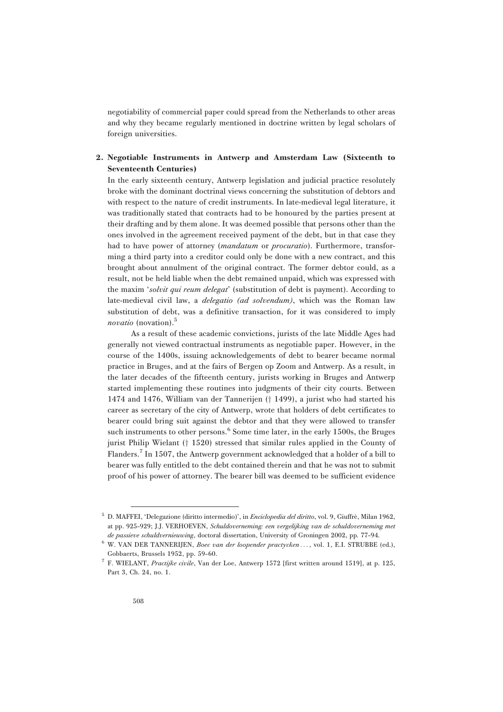negotiability of commercial paper could spread from the Netherlands to other areas and why they became regularly mentioned in doctrine written by legal scholars of foreign universities.

## 2. Negotiable Instruments in Antwerp and Amsterdam Law (Sixteenth to Seventeenth Centuries)

In the early sixteenth century, Antwerp legislation and judicial practice resolutely broke with the dominant doctrinal views concerning the substitution of debtors and with respect to the nature of credit instruments. In late-medieval legal literature, it was traditionally stated that contracts had to be honoured by the parties present at their drafting and by them alone. It was deemed possible that persons other than the ones involved in the agreement received payment of the debt, but in that case they had to have power of attorney *(mandatum* or *procuratio)*. Furthermore, transforming a third party into a creditor could only be done with a new contract, and this brought about annulment of the original contract. The former debtor could, as a result, not be held liable when the debt remained unpaid, which was expressed with the maxim *'solvit qui reum delegat'* (substitution of debt is payment). According to late-medieval civil law, a *delegatio (ad solvendum)*, which was the Roman law substitution of debt, was a definitive transaction, for it was considered to imply novatio (novation).<sup>5</sup>

As a result of these academic convictions, jurists of the late Middle Ages had generally not viewed contractual instruments as negotiable paper. However, in the course of the 1400s, issuing acknowledgements of debt to bearer became normal practice in Bruges, and at the fairs of Bergen op Zoom and Antwerp. As a result, in the later decades of the fifteenth century, jurists working in Bruges and Antwerp started implementing these routines into judgments of their city courts. Between 1474 and 1476, William van der Tannerijen († 1499), a jurist who had started his career as secretary of the city of Antwerp, wrote that holders of debt certificates to bearer could bring suit against the debtor and that they were allowed to transfer such instruments to other persons.<sup>6</sup> Some time later, in the early 1500s, the Bruges jurist Philip Wielant  $(† 1520)$  stressed that similar rules applied in the County of Flanders.<sup>7</sup> In 1507, the Antwerp government acknowledged that a holder of a bill to bearer was fully entitled to the debt contained therein and that he was not to submit proof of his power of attorney. The bearer bill was deemed to be sufficient evidence

<sup>&</sup>lt;sup>5</sup> D. MAFFEI, 'Delegazione (diritto intermedio)', in *Enciclopedia del diritto*, vol. 9, Giuffrè, Milan 1962, at pp. 925–929; J.J. VERHOEVEN, Schuldoverneming: een vergelijking van de schuldoverneming met de passieve schuldvernieuwing, doctoral dissertation, University of Groningen 2002, pp. 77–94.

 $6$  W. VAN DER TANNERIJEN, *Boec van der loopender practycken* ..., vol. 1, E.I. STRUBBE (ed.), Gobbaerts, Brussels 1952, pp. 59–60.

<sup>&</sup>lt;sup>7</sup> F. WIELANT, Practijke civile, Van der Loe, Antwerp 1572 [first written around 1519], at p. 125, Part 3, Ch. 24, no. 1.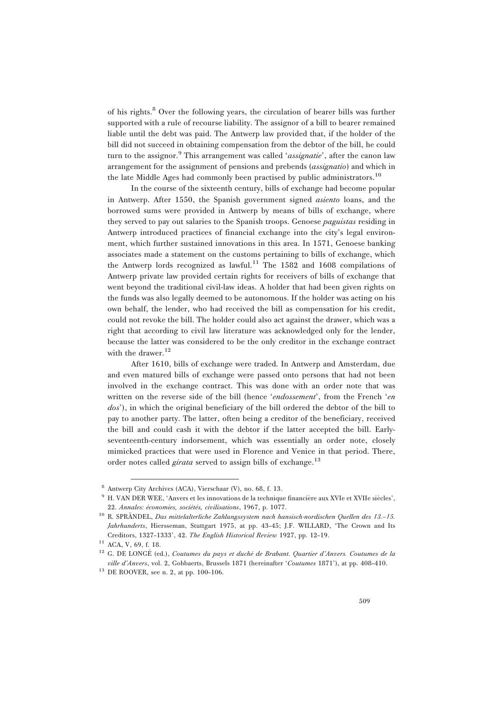of his rights.<sup>8</sup> Over the following years, the circulation of bearer bills was further supported with a rule of recourse liability. The assignor of a bill to bearer remained liable until the debt was paid. The Antwerp law provided that, if the holder of the bill did not succeed in obtaining compensation from the debtor of the bill, he could turn to the assignor.<sup>9</sup> This arrangement was called '*assignatie*', after the canon law arrangement for the assignment of pensions and prebends (assignatio) and which in the late Middle Ages had commonly been practised by public administrators.<sup>10</sup>

In the course of the sixteenth century, bills of exchange had become popular in Antwerp. After 1550, the Spanish government signed asiento loans, and the borrowed sums were provided in Antwerp by means of bills of exchange, where they served to pay out salaries to the Spanish troops. Genoese *paguistas* residing in Antwerp introduced practices of financial exchange into the city's legal environment, which further sustained innovations in this area. In 1571, Genoese banking associates made a statement on the customs pertaining to bills of exchange, which the Antwerp lords recognized as lawful.<sup>11</sup> The 1582 and 1608 compilations of Antwerp private law provided certain rights for receivers of bills of exchange that went beyond the traditional civil-law ideas. A holder that had been given rights on the funds was also legally deemed to be autonomous. If the holder was acting on his own behalf, the lender, who had received the bill as compensation for his credit, could not revoke the bill. The holder could also act against the drawer, which was a right that according to civil law literature was acknowledged only for the lender, because the latter was considered to be the only creditor in the exchange contract with the drawer. $12$ 

After 1610, bills of exchange were traded. In Antwerp and Amsterdam, due and even matured bills of exchange were passed onto persons that had not been involved in the exchange contract. This was done with an order note that was written on the reverse side of the bill (hence 'endossement', from the French 'en dos'), in which the original beneficiary of the bill ordered the debtor of the bill to pay to another party. The latter, often being a creditor of the beneficiary, received the bill and could cash it with the debtor if the latter accepted the bill. Earlyseventeenth-century indorsement, which was essentially an order note, closely mimicked practices that were used in Florence and Venice in that period. There, order notes called *girata* served to assign bills of exchange.<sup>13</sup>

<sup>8</sup> Antwerp City Archives (ACA), Vierschaar (V), no. 68, f. 13.

<sup>&</sup>lt;sup>9</sup> H. VAN DER WEE, 'Anvers et les innovations de la technique financière aux XVIe et XVIIe siècles', 22. Annales: économies, sociétés, civilisations, 1967, p. 1077.

 $10$  R. SPRÄNDEL, Das mittelalterliche Zahlungssystem nach hansisch-nordischen Quellen des 13.–15. Jahrhunderts, Hiersseman, Stuttgart 1975, at pp. 43-45; J.F. WILLARD, 'The Crown and Its Creditors, 1327–1333', 42. The English Historical Review 1927, pp. 12–19.

 $^{11}$  ACA, V, 69, f. 18.

<sup>&</sup>lt;sup>12</sup> G. DE LONGÉ (ed.), Coutumes du pays et duché de Brabant. Quartier d'Anvers. Coutumes de la ville d'Anvers, vol. 2, Gobbaerts, Brussels 1871 (hereinafter 'Coutumes 1871'), at pp. 408–410.

<sup>13</sup> DE ROOVER, see n. 2, at pp. 100–106.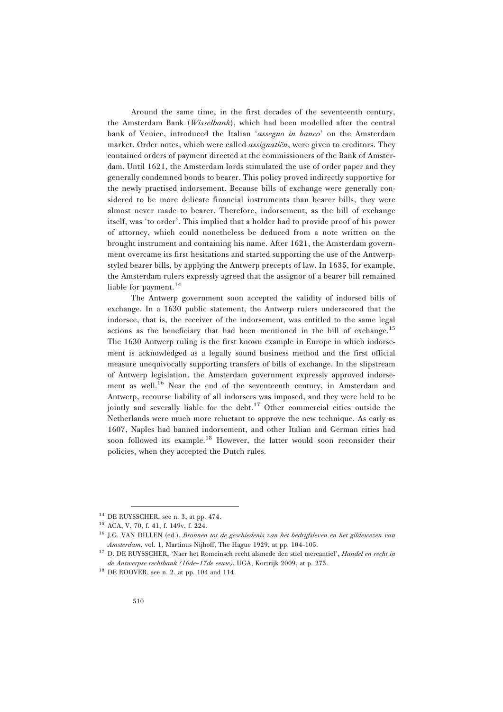Around the same time, in the first decades of the seventeenth century, the Amsterdam Bank (Wisselbank), which had been modelled after the central bank of Venice, introduced the Italian 'assegno in banco' on the Amsterdam market. Order notes, which were called *assignatiën*, were given to creditors. They contained orders of payment directed at the commissioners of the Bank of Amsterdam. Until 1621, the Amsterdam lords stimulated the use of order paper and they generally condemned bonds to bearer. This policy proved indirectly supportive for the newly practised indorsement. Because bills of exchange were generally considered to be more delicate financial instruments than bearer bills, they were almost never made to bearer. Therefore, indorsement, as the bill of exchange itself, was 'to order'. This implied that a holder had to provide proof of his power of attorney, which could nonetheless be deduced from a note written on the brought instrument and containing his name. After 1621, the Amsterdam government overcame its first hesitations and started supporting the use of the Antwerpstyled bearer bills, by applying the Antwerp precepts of law. In 1635, for example, the Amsterdam rulers expressly agreed that the assignor of a bearer bill remained liable for payment. $^{14}$ 

The Antwerp government soon accepted the validity of indorsed bills of exchange. In a 1630 public statement, the Antwerp rulers underscored that the indorsee, that is, the receiver of the indorsement, was entitled to the same legal actions as the beneficiary that had been mentioned in the bill of exchange.<sup>15</sup> The 1630 Antwerp ruling is the first known example in Europe in which indorsement is acknowledged as a legally sound business method and the first official measure unequivocally supporting transfers of bills of exchange. In the slipstream of Antwerp legislation, the Amsterdam government expressly approved indorsement as well.<sup>16</sup> Near the end of the seventeenth century, in Amsterdam and Antwerp, recourse liability of all indorsers was imposed, and they were held to be jointly and severally liable for the debt. $17$  Other commercial cities outside the Netherlands were much more reluctant to approve the new technique. As early as 1607, Naples had banned indorsement, and other Italian and German cities had soon followed its example.<sup>18</sup> However, the latter would soon reconsider their policies, when they accepted the Dutch rules.

 $14$  DE RUYSSCHER, see n. 3, at pp. 474.

<sup>15</sup> ACA, V, 70, f. 41, f. 149v, f. 224.

<sup>&</sup>lt;sup>16</sup> J.G. VAN DILLEN (ed.), Bronnen tot de geschiedenis van het bedrijfsleven en het gildewezen van Amsterdam, vol. 1, Martinus Nijhoff, The Hague 1929, at pp. 104–105.

 $^{17}$  D. DE RUYSSCHER, 'Naer het Romeinsch recht alsmede den stiel mercantiel', Handel en recht in de Antwerpse rechtbank (16de–17de eeuw), UGA, Kortrijk 2009, at p. 273.

<sup>18</sup> DE ROOVER, see n. 2, at pp. 104 and 114.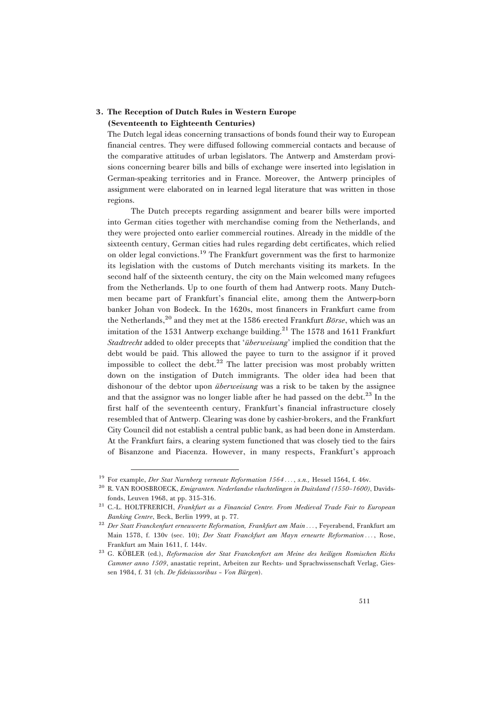## 3. The Reception of Dutch Rules in Western Europe (Seventeenth to Eighteenth Centuries)

The Dutch legal ideas concerning transactions of bonds found their way to European financial centres. They were diffused following commercial contacts and because of the comparative attitudes of urban legislators. The Antwerp and Amsterdam provisions concerning bearer bills and bills of exchange were inserted into legislation in German-speaking territories and in France. Moreover, the Antwerp principles of assignment were elaborated on in learned legal literature that was written in those regions.

The Dutch precepts regarding assignment and bearer bills were imported into German cities together with merchandise coming from the Netherlands, and they were projected onto earlier commercial routines. Already in the middle of the sixteenth century, German cities had rules regarding debt certificates, which relied on older legal convictions.<sup>19</sup> The Frankfurt government was the first to harmonize its legislation with the customs of Dutch merchants visiting its markets. In the second half of the sixteenth century, the city on the Main welcomed many refugees from the Netherlands. Up to one fourth of them had Antwerp roots. Many Dutchmen became part of Frankfurt's financial elite, among them the Antwerp-born banker Johan von Bodeck. In the 1620s, most financers in Frankfurt came from the Netherlands,<sup>20</sup> and they met at the 1586 erected Frankfurt *Börse*, which was an imitation of the 1531 Antwerp exchange building.<sup>21</sup> The 1578 and 1611 Frankfurt Stadtrecht added to older precepts that 'überweisung' implied the condition that the debt would be paid. This allowed the payee to turn to the assignor if it proved impossible to collect the debt. $22$  The latter precision was most probably written down on the instigation of Dutch immigrants. The older idea had been that dishonour of the debtor upon *überweisung* was a risk to be taken by the assignee and that the assignor was no longer liable after he had passed on the debt. $^{23}$  In the first half of the seventeenth century, Frankfurt's financial infrastructure closely resembled that of Antwerp. Clearing was done by cashier-brokers, and the Frankfurt City Council did not establish a central public bank, as had been done in Amsterdam. At the Frankfurt fairs, a clearing system functioned that was closely tied to the fairs of Bisanzone and Piacenza. However, in many respects, Frankfurt's approach

<sup>&</sup>lt;sup>19</sup> For example, *Der Stat Nurnberg verneute Reformation 1564* ..., *s.n.*, Hessel 1564, f. 46v.

<sup>&</sup>lt;sup>20</sup> R. VAN ROOSBROECK, *Emigranten. Nederlandse vluchtelingen in Duitsland (1550-1600)*, Davidsfonds, Leuven 1968, at pp. 315–316.

<sup>&</sup>lt;sup>21</sup> C.-L. HOLTFRERICH, Frankfurt as a Financial Centre. From Medieval Trade Fair to European Banking Centre, Beck, Berlin 1999, at p. 77.

 $^{22}$  Der Statt Franckenfurt erneuwerte Reformation, Frankfurt am Main ..., Feyerabend, Frankfurt am Main 1578, f. 130v (sec. 10); Der Statt Franckfurt am Mayn erneurte Reformation ..., Rose, Frankfurt am Main 1611, f. 144v.

 $23$  G. KÖBLER (ed.), Reformacion der Stat Franckenfort am Meine des heiligen Romischen Richs Cammer anno 1509, anastatic reprint, Arbeiten zur Rechts- und Sprachwissenschaft Verlag, Giessen 1984, f. 31 (ch. De fideiussoribus - Von Bürgen).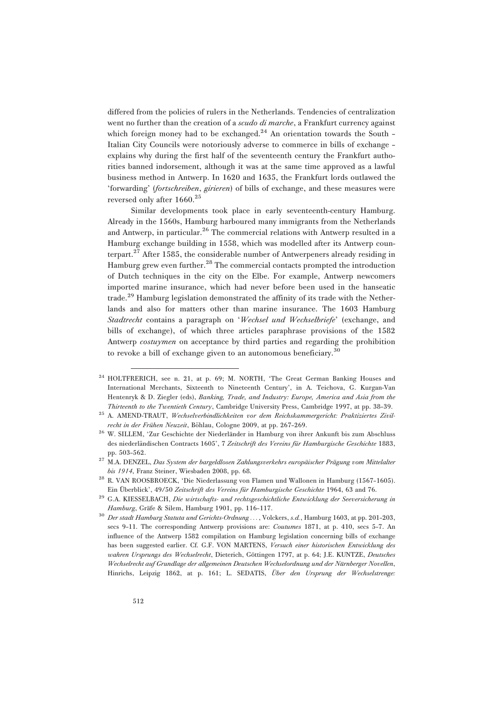differed from the policies of rulers in the Netherlands. Tendencies of centralization went no further than the creation of a *scudo di marche*, a Frankfurt currency against which foreign money had to be exchanged. $24$  An orientation towards the South -Italian City Councils were notoriously adverse to commerce in bills of exchange – explains why during the first half of the seventeenth century the Frankfurt authorities banned indorsement, although it was at the same time approved as a lawful business method in Antwerp. In 1620 and 1635, the Frankfurt lords outlawed the 'forwarding' (fortschreiben, girieren) of bills of exchange, and these measures were reversed only after  $1660.<sup>25</sup>$ 

Similar developments took place in early seventeenth-century Hamburg. Already in the 1560s, Hamburg harboured many immigrants from the Netherlands and Antwerp, in particular.<sup>26</sup> The commercial relations with Antwerp resulted in a Hamburg exchange building in 1558, which was modelled after its Antwerp counterpart.<sup>27</sup> After 1585, the considerable number of Antwerpeners already residing in Hamburg grew even further.28 The commercial contacts prompted the introduction of Dutch techniques in the city on the Elbe. For example, Antwerp newcomers imported marine insurance, which had never before been used in the hanseatic trade.<sup>29</sup> Hamburg legislation demonstrated the affinity of its trade with the Netherlands and also for matters other than marine insurance. The 1603 Hamburg Stadtrecht contains a paragraph on 'Wechsel und Wechselbriefe' (exchange, and bills of exchange), of which three articles paraphrase provisions of the 1582 Antwerp *costuymen* on acceptance by third parties and regarding the prohibition to revoke a bill of exchange given to an autonomous beneficiary.<sup>30</sup>

<sup>24</sup> HOLTFRERICH, see n. 21, at p. 69; M. NORTH, 'The Great German Banking Houses and International Merchants, Sixteenth to Nineteenth Century', in A. Teichova, G. Kurgan-Van Hentenryk & D. Ziegler (eds), Banking, Trade, and Industry: Europe, America and Asia from the Thirteenth to the Twentieth Century, Cambridge University Press, Cambridge 1997, at pp. 38–39.

<sup>25</sup> A. AMEND-TRAUT, Wechselverbindlichkeiten vor dem Reichskammergericht: Praktiziertes Zivilrecht in der Frühen Neuzeit, Böhlau, Cologne 2009, at pp. 267-269.

 $^{26}$  W. SILLEM, 'Zur Geschichte der Niederländer in Hamburg von ihrer Ankunft bis zum Abschluss des niederländischen Contracts 1605', 7 Zeitschrift des Vereins für Hamburgische Geschichte 1883, pp. 503–562.

<sup>&</sup>lt;sup>27</sup> M.A. DENZEL, Das System der bargeldlosen Zahlungsverkehrs europäischer Prägung vom Mittelalter bis 1914, Franz Steiner, Wiesbaden 2008, pp. 68.

<sup>28</sup> R. VAN ROOSBROECK, 'Die Niederlassung von Flamen und Wallonen in Hamburg (1567–1605). Ein Überblick', 49/50 Zeitschrift des Vereins für Hamburgische Geschichte 1964, 63 and 76.

<sup>&</sup>lt;sup>29</sup> G.A. KIESSELBACH, Die wirtschafts- und rechtsgeschichtliche Entwicklung der Seeversicherung in Hamburg, Gräfe & Silem, Hamburg 1901, pp. 116-117.

<sup>30</sup> Der stadt Hamburg Statuta und Gerichts-Ordnung ... , Volckers, s.d., Hamburg 1603, at pp. 201–203, secs 9-11. The corresponding Antwerp provisions are: *Coutumes* 1871, at p. 410, secs 5-7. An influence of the Antwerp 1582 compilation on Hamburg legislation concerning bills of exchange has been suggested earlier. Cf. G.F. VON MARTENS, Versuch einer historischen Entwicklung des wahren Ursprungs des Wechselrecht, Dieterich, Göttingen 1797, at p. 64; J.E. KUNTZE, Deutsches Wechselrecht auf Grundlage der allgemeinen Deutschen Wechselordnung und der Nürnberger Novellen, Hinrichs, Leipzig 1862, at p. 161; L. SEDATIS, Über den Ursprung der Wechselstrenge: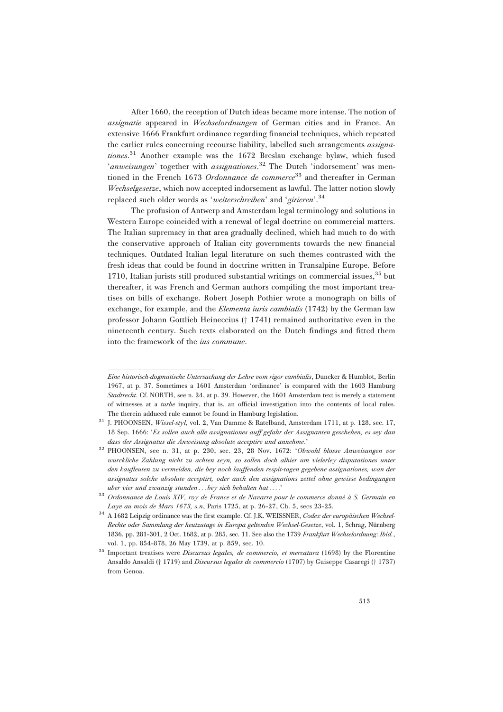After 1660, the reception of Dutch ideas became more intense. The notion of assignatie appeared in Wechselordnungen of German cities and in France. An extensive 1666 Frankfurt ordinance regarding financial techniques, which repeated the earlier rules concerning recourse liability, labelled such arrangements *assigna*tiones.<sup>31</sup> Another example was the 1672 Breslau exchange bylaw, which fused 'anweisungen' together with assignationes.<sup>32</sup> The Dutch 'indorsement' was mentioned in the French 1673 Ordonnance de commerce<sup>33</sup> and thereafter in German Wechselgesetze, which now accepted indorsement as lawful. The latter notion slowly replaced such older words as 'weiterschreiben' and 'girieren'.<sup>34</sup>

The profusion of Antwerp and Amsterdam legal terminology and solutions in Western Europe coincided with a renewal of legal doctrine on commercial matters. The Italian supremacy in that area gradually declined, which had much to do with the conservative approach of Italian city governments towards the new financial techniques. Outdated Italian legal literature on such themes contrasted with the fresh ideas that could be found in doctrine written in Transalpine Europe. Before 1710, Italian jurists still produced substantial writings on commercial issues,  $35$  but thereafter, it was French and German authors compiling the most important treatises on bills of exchange. Robert Joseph Pothier wrote a monograph on bills of exchange, for example, and the *Elementa iuris cambialis* (1742) by the German law professor Johann Gottlieb Heineccius († 1741) remained authoritative even in the nineteenth century. Such texts elaborated on the Dutch findings and fitted them into the framework of the ius commune.

Eine historisch-dogmatische Untersuchung der Lehre vom rigor cambialis, Duncker & Humblot, Berlin 1967, at p. 37. Sometimes a 1601 Amsterdam 'ordinance' is compared with the 1603 Hamburg Stadtrecht. Cf. NORTH, see n. 24, at p. 39. However, the 1601 Amsterdam text is merely a statement of witnesses at a turbe inquiry, that is, an official investigation into the contents of local rules. The therein adduced rule cannot be found in Hamburg legislation.

<sup>&</sup>lt;sup>31</sup> J. PHOONSEN, Wissel-styl, vol. 2, Van Damme & Ratelband, Amsterdam 1711, at p. 128, sec. 17, 18 Sep. 1666: 'Es sollen auch alle assignationes auff gefahr der Assignanten geschehen, es sey dan dass der Assignatus die Anweisung absolute acceptire und annehme.'

<sup>32</sup> PHOONSEN, see n. 31, at p. 230, sec. 23, 28 Nov. 1672: 'Obwohl blosse Anweisungen vor wurckliche Zahlung nicht zu achten seyn, so sollen doch alhier um vielerley disputationes unter den kaufleuten zu vermeiden, die bey noch lauffenden respit-tagen gegebene assignationes, wan der assignatus solche absolute acceptirt, oder auch den assignations zettel ohne gewisse bedingungen uber vier und zwanzig stunden ... bey sich behalten hat ... .'

 $33$  Ordonnance de Louis XIV, roy de France et de Navarre pour le commerce donné à S. Germain en Laye au mois de Mars 1673, s.n, Paris 1725, at p. 26-27, Ch. 5, secs 23-25.

 $^{34}$  A 1682 Leipzig ordinance was the first example. Cf. J.K. WEISSNER, Codex der europäischen Wechsel-Rechte oder Sammlung der heutzutage in Europa geltenden Wechsel-Gesetze, vol. 1, Schrag, Nürnberg 1836, pp. 281–301, 2 Oct. 1682, at p. 285, sec. 11. See also the 1739 Frankfurt Wechselordnung: Ibid., vol. 1, pp. 854–878, 26 May 1739, at p. 859, sec. 10.

<sup>&</sup>lt;sup>35</sup> Important treatises were *Discursus legales, de commercio, et mercatura* (1698) by the Florentine Ansaldo Ansaldi († 1719) and Discursus legales de commercio (1707) by Guiseppe Casaregi († 1737) from Genoa.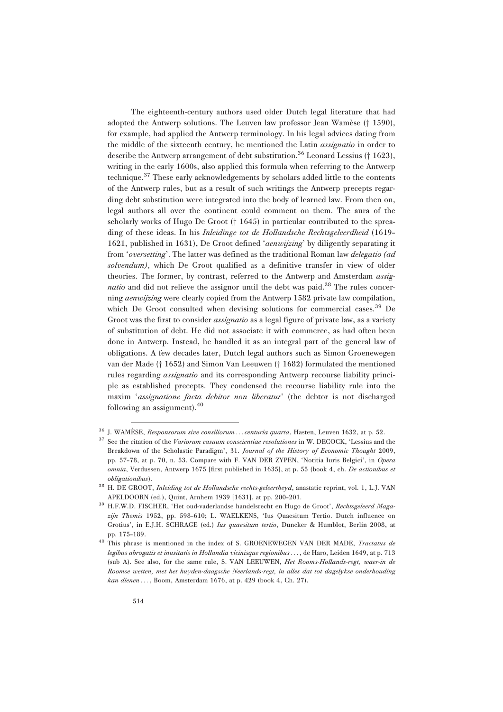The eighteenth-century authors used older Dutch legal literature that had adopted the Antwerp solutions. The Leuven law professor Jean Wamèse († 1590), for example, had applied the Antwerp terminology. In his legal advices dating from the middle of the sixteenth century, he mentioned the Latin *assignatio* in order to describe the Antwerp arrangement of debt substitution.<sup>36</sup> Leonard Lessius († 1623), writing in the early 1600s, also applied this formula when referring to the Antwerp technique.<sup>37</sup> These early acknowledgements by scholars added little to the contents of the Antwerp rules, but as a result of such writings the Antwerp precepts regarding debt substitution were integrated into the body of learned law. From then on, legal authors all over the continent could comment on them. The aura of the scholarly works of Hugo De Groot  $(† 1645)$  in particular contributed to the spreading of these ideas. In his Inleidinge tot de Hollandsche Rechtsgeleerdheid (1619– 1621, published in 1631), De Groot defined 'aenwijzing' by diligently separating it from '*oversetting*'. The latter was defined as the traditional Roman law *delegatio* (ad solvendum), which De Groot qualified as a definitive transfer in view of older theories. The former, by contrast, referred to the Antwerp and Amsterdam *assignatio* and did not relieve the assignor until the debt was paid.<sup>38</sup> The rules concerning aenwijzing were clearly copied from the Antwerp 1582 private law compilation, which De Groot consulted when devising solutions for commercial cases.<sup>39</sup> De Groot was the first to consider *assignatio* as a legal figure of private law, as a variety of substitution of debt. He did not associate it with commerce, as had often been done in Antwerp. Instead, he handled it as an integral part of the general law of obligations. A few decades later, Dutch legal authors such as Simon Groenewegen van der Made († 1652) and Simon Van Leeuwen († 1682) formulated the mentioned rules regarding assignatio and its corresponding Antwerp recourse liability principle as established precepts. They condensed the recourse liability rule into the maxim 'assignatione facta debitor non liberatur' (the debtor is not discharged following an assignment).<sup>40</sup>

<sup>&</sup>lt;sup>36</sup> J. WAMÈSE, Responsorum sive consiliorum ... centuria quarta, Hasten, Leuven 1632, at p. 52.

See the citation of the Variorum casuum conscientiae resolutiones in W. DECOCK, 'Lessius and the Breakdown of the Scholastic Paradigm', 31. Journal of the History of Economic Thought 2009, pp. 57–78, at p. 70, n. 53. Compare with F. VAN DER ZYPEN, 'Notitia Iuris Belgici', in Opera omnia, Verdussen, Antwerp 1675 [first published in 1635], at p. 55 (book 4, ch. De actionibus et obligationibus).

<sup>38</sup> H. DE GROOT, Inleiding tot de Hollandsche rechts-geleertheyd, anastatic reprint, vol. 1, L.J. VAN APELDOORN (ed.), Quint, Arnhem 1939 [1631], at pp. 200–201.

<sup>&</sup>lt;sup>39</sup> H.F.W.D. FISCHER, 'Het oud-vaderlandse handelsrecht en Hugo de Groot', Rechtsgeleerd Magazijn Themis 1952, pp. 598-610; L. WAELKENS, 'Ius Quaesitum Tertio. Dutch influence on Grotius', in E.J.H. SCHRAGE (ed.) Ius quaesitum tertio, Duncker & Humblot, Berlin 2008, at pp. 175–189.

<sup>&</sup>lt;sup>40</sup> This phrase is mentioned in the index of S. GROENEWEGEN VAN DER MADE, Tractatus de legibus abrogatis et inusitatis in Hollandia vicinisque regionibus... , de Haro, Leiden 1649, at p. 713 (sub A). See also, for the same rule, S. VAN LEEUWEN, Het Rooms-Hollands-regt, waer-in de Roomse wetten, met het huyden-daagsche Neerlands-regt, in alles dat tot dagelykse onderhouding kan dienen ... , Boom, Amsterdam 1676, at p. 429 (book 4, Ch. 27).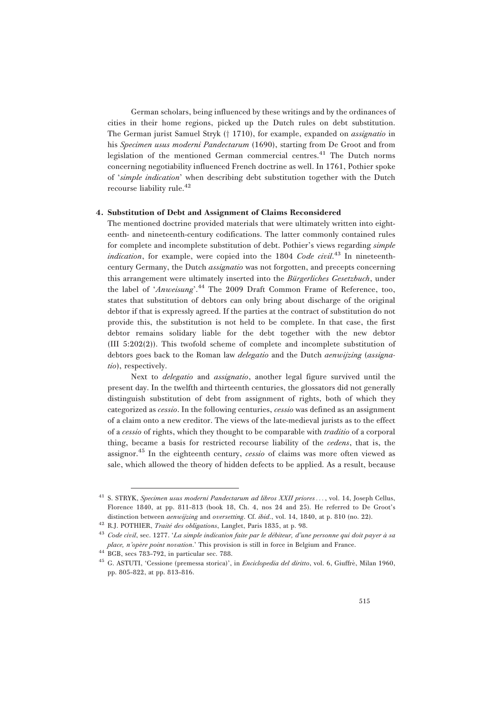German scholars, being influenced by these writings and by the ordinances of cities in their home regions, picked up the Dutch rules on debt substitution. The German jurist Samuel Stryk († 1710), for example, expanded on *assignatio* in his Specimen usus moderni Pandectarum (1690), starting from De Groot and from legislation of the mentioned German commercial centres.<sup>41</sup> The Dutch norms concerning negotiability influenced French doctrine as well. In 1761, Pothier spoke of 'simple indication' when describing debt substitution together with the Dutch recourse liability rule.<sup>42</sup>

#### 4. Substitution of Debt and Assignment of Claims Reconsidered

The mentioned doctrine provided materials that were ultimately written into eighteenth- and nineteenth-century codifications. The latter commonly contained rules for complete and incomplete substitution of debt. Pothier's views regarding simple indication, for example, were copied into the 1804 Code civil.<sup>43</sup> In nineteenthcentury Germany, the Dutch assignatio was not forgotten, and precepts concerning this arrangement were ultimately inserted into the *Bürgerliches Gesetzbuch*, under the label of 'Anweisung'.<sup>44</sup> The 2009 Draft Common Frame of Reference, too, states that substitution of debtors can only bring about discharge of the original debtor if that is expressly agreed. If the parties at the contract of substitution do not provide this, the substitution is not held to be complete. In that case, the first debtor remains solidary liable for the debt together with the new debtor (III 5:202(2)). This twofold scheme of complete and incomplete substitution of debtors goes back to the Roman law *delegatio* and the Dutch *aenwijzing* (assignatio), respectively.

Next to *delegatio* and *assignatio*, another legal figure survived until the present day. In the twelfth and thirteenth centuries, the glossators did not generally distinguish substitution of debt from assignment of rights, both of which they categorized as cessio. In the following centuries, cessio was defined as an assignment of a claim onto a new creditor. The views of the late-medieval jurists as to the effect of a cessio of rights, which they thought to be comparable with traditio of a corporal thing, became a basis for restricted recourse liability of the cedens, that is, the assignor.<sup>45</sup> In the eighteenth century, *cessio* of claims was more often viewed as sale, which allowed the theory of hidden defects to be applied. As a result, because

<sup>5.</sup> STRYK, Specimen usus moderni Pandectarum ad libros XXII priores..., vol. 14, Joseph Cellus, Florence 1840, at pp. 811–813 (book 18, Ch. 4, nos 24 and 25). He referred to De Groot's distinction between *aenwijzing* and *oversetting*. Cf. *ibid.*, vol. 14, 1840, at p. 810 (no. 22).

<sup>&</sup>lt;sup>42</sup> R.J. POTHIER, *Traité des obligations*, Langlet, Paris 1835, at p. 98.

 $^{43}$  Code civil, sec. 1277. 'La simple indication faite par le débiteur, d'une personne qui doit payer à sa place, n'opère point novation.' This provision is still in force in Belgium and France.

<sup>44</sup> BGB, secs 783–792, in particular sec. 788.

<sup>&</sup>lt;sup>45</sup> G. ASTUTI, 'Cessione (premessa storica)', in *Enciclopedia del diritto*, vol. 6, Giuffrè, Milan 1960, pp. 805–822, at pp. 813–816.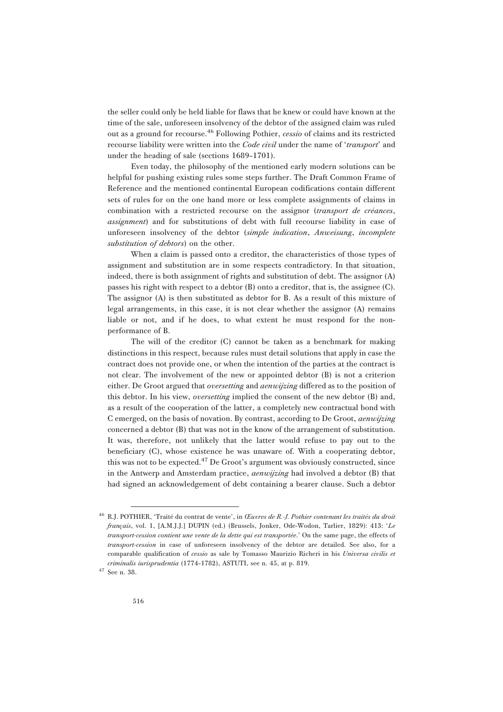the seller could only be held liable for flaws that he knew or could have known at the time of the sale, unforeseen insolvency of the debtor of the assigned claim was ruled out as a ground for recourse.<sup>46</sup> Following Pothier, *cessio* of claims and its restricted recourse liability were written into the *Code civil* under the name of 'transport' and under the heading of sale (sections 1689–1701).

Even today, the philosophy of the mentioned early modern solutions can be helpful for pushing existing rules some steps further. The Draft Common Frame of Reference and the mentioned continental European codifications contain different sets of rules for on the one hand more or less complete assignments of claims in combination with a restricted recourse on the assignor (transport de créances, assignment) and for substitutions of debt with full recourse liability in case of unforeseen insolvency of the debtor (simple indication, Anweisung, incomplete substitution of debtors) on the other.

When a claim is passed onto a creditor, the characteristics of those types of assignment and substitution are in some respects contradictory. In that situation, indeed, there is both assignment of rights and substitution of debt. The assignor (A) passes his right with respect to a debtor (B) onto a creditor, that is, the assignee (C). The assignor (A) is then substituted as debtor for B. As a result of this mixture of legal arrangements, in this case, it is not clear whether the assignor (A) remains liable or not, and if he does, to what extent he must respond for the nonperformance of B.

The will of the creditor (C) cannot be taken as a benchmark for making distinctions in this respect, because rules must detail solutions that apply in case the contract does not provide one, or when the intention of the parties at the contract is not clear. The involvement of the new or appointed debtor (B) is not a criterion either. De Groot argued that *oversetting* and *aenwijzing* differed as to the position of this debtor. In his view, oversetting implied the consent of the new debtor (B) and, as a result of the cooperation of the latter, a completely new contractual bond with C emerged, on the basis of novation. By contrast, according to De Groot, aenwijzing concerned a debtor (B) that was not in the know of the arrangement of substitution. It was, therefore, not unlikely that the latter would refuse to pay out to the beneficiary (C), whose existence he was unaware of. With a cooperating debtor, this was not to be expected.<sup>47</sup> De Groot's argument was obviously constructed, since in the Antwerp and Amsterdam practice, *aenwijzing* had involved a debtor (B) that had signed an acknowledgement of debt containing a bearer clause. Such a debtor

<sup>&</sup>lt;sup>46</sup> R.J. POTHIER, 'Traité du contrat de vente', in *Œuvres de R.-J. Pothier contenant les traités du droit*  $français$ , vol. 1, [A.M.J.J.] DUPIN (ed.) (Brussels, Jonker, Ode-Wodon, Tarlier, 1829): 413: 'Le transport-cession contient une vente de la dette qui est transportée.' On the same page, the effects of transport-cession in case of unforeseen insolvency of the debtor are detailed. See also, for a comparable qualification of cessio as sale by Tomasso Maurizio Richeri in his Universa civilis et criminalis iurisprudentia (1774–1782), ASTUTI, see n. 45, at p. 819.

 $^{47}$  See n. 38.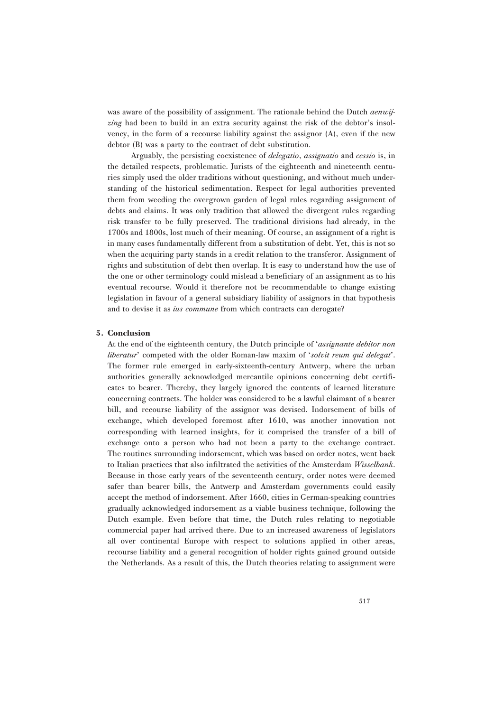was aware of the possibility of assignment. The rationale behind the Dutch *aenwij*zing had been to build in an extra security against the risk of the debtor's insolvency, in the form of a recourse liability against the assignor (A), even if the new debtor (B) was a party to the contract of debt substitution.

Arguably, the persisting coexistence of *delegatio*, assignatio and cessio is, in the detailed respects, problematic. Jurists of the eighteenth and nineteenth centuries simply used the older traditions without questioning, and without much understanding of the historical sedimentation. Respect for legal authorities prevented them from weeding the overgrown garden of legal rules regarding assignment of debts and claims. It was only tradition that allowed the divergent rules regarding risk transfer to be fully preserved. The traditional divisions had already, in the 1700s and 1800s, lost much of their meaning. Of course, an assignment of a right is in many cases fundamentally different from a substitution of debt. Yet, this is not so when the acquiring party stands in a credit relation to the transferor. Assignment of rights and substitution of debt then overlap. It is easy to understand how the use of the one or other terminology could mislead a beneficiary of an assignment as to his eventual recourse. Would it therefore not be recommendable to change existing legislation in favour of a general subsidiary liability of assignors in that hypothesis and to devise it as ius commune from which contracts can derogate?

#### 5. Conclusion

At the end of the eighteenth century, the Dutch principle of 'assignante debitor non liberatur' competed with the older Roman-law maxim of 'solvit reum qui delegat'. The former rule emerged in early-sixteenth-century Antwerp, where the urban authorities generally acknowledged mercantile opinions concerning debt certificates to bearer. Thereby, they largely ignored the contents of learned literature concerning contracts. The holder was considered to be a lawful claimant of a bearer bill, and recourse liability of the assignor was devised. Indorsement of bills of exchange, which developed foremost after 1610, was another innovation not corresponding with learned insights, for it comprised the transfer of a bill of exchange onto a person who had not been a party to the exchange contract. The routines surrounding indorsement, which was based on order notes, went back to Italian practices that also infiltrated the activities of the Amsterdam Wisselbank. Because in those early years of the seventeenth century, order notes were deemed safer than bearer bills, the Antwerp and Amsterdam governments could easily accept the method of indorsement. After 1660, cities in German-speaking countries gradually acknowledged indorsement as a viable business technique, following the Dutch example. Even before that time, the Dutch rules relating to negotiable commercial paper had arrived there. Due to an increased awareness of legislators all over continental Europe with respect to solutions applied in other areas, recourse liability and a general recognition of holder rights gained ground outside the Netherlands. As a result of this, the Dutch theories relating to assignment were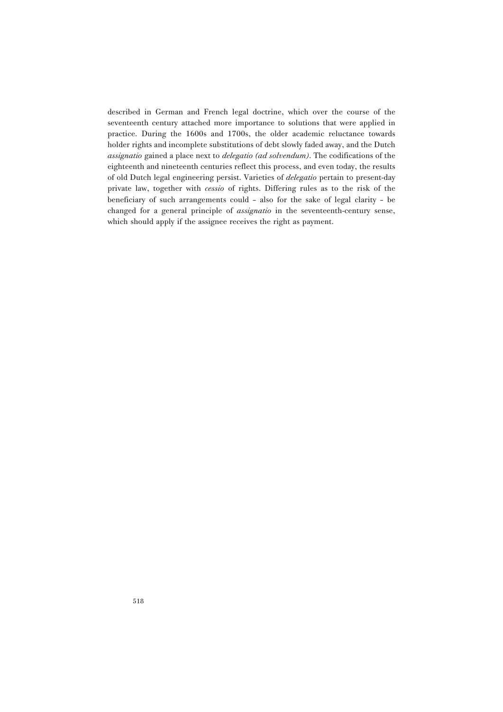described in German and French legal doctrine, which over the course of the seventeenth century attached more importance to solutions that were applied in practice. During the 1600s and 1700s, the older academic reluctance towards holder rights and incomplete substitutions of debt slowly faded away, and the Dutch assignatio gained a place next to *delegatio (ad solvendum)*. The codifications of the eighteenth and nineteenth centuries reflect this process, and even today, the results of old Dutch legal engineering persist. Varieties of delegatio pertain to present-day private law, together with cessio of rights. Differing rules as to the risk of the beneficiary of such arrangements could – also for the sake of legal clarity – be changed for a general principle of assignatio in the seventeenth-century sense, which should apply if the assignee receives the right as payment.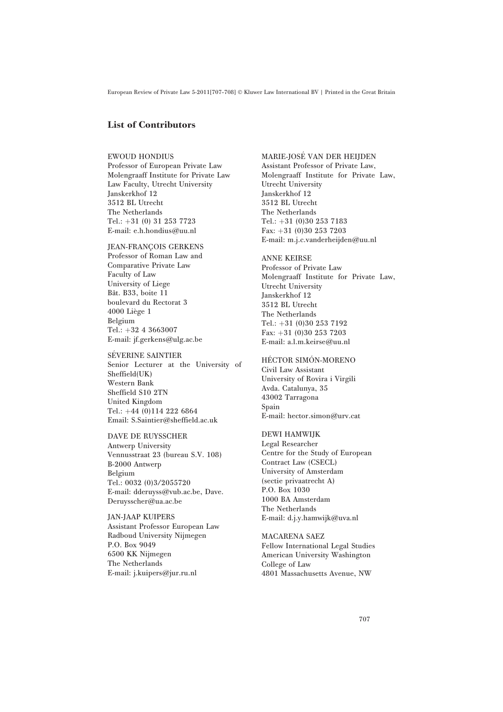## List of Contributors

#### EWOUD HONDIUS

Professor of European Private Law Molengraaff Institute for Private Law Law Faculty, Utrecht University Janskerkhof 12 3512 BL Utrecht The Netherlands Tel.:  $+31$  (0) 31 253 7723 E-mail: e.h.hondius@uu.nl

**JEAN-FRANCOIS GERKENS** Professor of Roman Law and Comparative Private Law Faculty of Law University of Liege Bât. B33, boite 11 boulevard du Rectorat 3 4000 Liège 1 Belgium Tel.:  $+32$  4 3663007 E-mail: jf.gerkens@ulg.ac.be

#### SÉVERINE SAINTIER Senior Lecturer at the University of Sheffield(UK) Western Bank Sheffield S10 2TN United Kingdom Tel.:  $+44$  (0)114 222 6864 Email: S.Saintier@sheffield.ac.uk

DAVE DE RUYSSCHER Antwerp University Vennusstraat 23 (bureau S.V. 108) B-2000 Antwerp Belgium Tel.: 0032 (0)3/2055720 E-mail: dderuyss@vub.ac.be, Dave. Deruysscher@ua.ac.be

JAN-JAAP KUIPERS Assistant Professor European Law Radboud University Nijmegen P.O. Box 9049 6500 KK Nijmegen The Netherlands E-mail: j.kuipers@jur.ru.nl

#### MARIE-JOSE´ VAN DER HEIJDEN Assistant Professor of Private Law, Molengraaff Institute for Private Law, Utrecht University Janskerkhof 12 3512 BL Utrecht The Netherlands Tel.:  $+31$  (0)30 253 7183 Fax:  $+31$  (0)30 253 7203 E-mail: m.j.c.vanderheijden@uu.nl

ANNE KEIRSE Professor of Private Law Molengraaff Institute for Private Law, Utrecht University Janskerkhof 12 3512 BL Utrecht The Netherlands Tel.:  $+31$  (0)30 253 7192 Fax:  $+31$  (0)30 253 7203 E-mail: a.l.m.keirse@uu.nl

#### HÉCTOR SIMÓN-MORENO

Civil Law Assistant University of Rovira i Virgili Avda. Catalunya, 35 43002 Tarragona Spain E-mail: hector.simon@urv.cat

#### DEWI HAMWIJK

Legal Researcher Centre for the Study of European Contract Law (CSECL) University of Amsterdam (sectie privaatrecht A) P.O. Box 1030 1000 BA Amsterdam The Netherlands E-mail: d.j.y.hamwijk@uva.nl

MACARENA SAEZ Fellow International Legal Studies American University Washington College of Law 4801 Massachusetts Avenue, NW